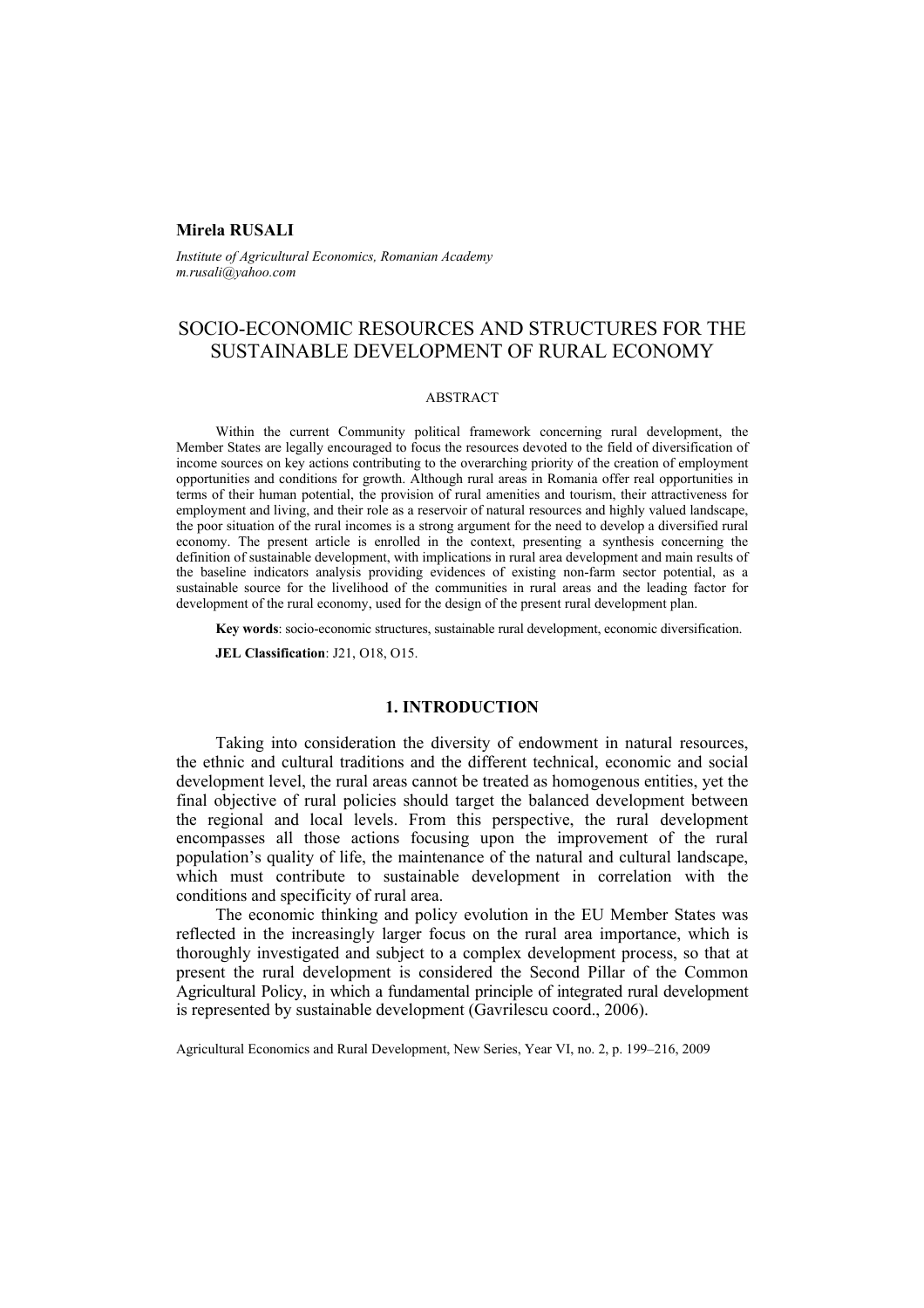# **Mirela RUSALI**

*Institute of Agricultural Economics, Romanian Academy m.rusali@yahoo.com* 

# SOCIO-ECONOMIC RESOURCES AND STRUCTURES FOR THE SUSTAINABLE DEVELOPMENT OF RURAL ECONOMY

# ABSTRACT

Within the current Community political framework concerning rural development, the Member States are legally encouraged to focus the resources devoted to the field of diversification of income sources on key actions contributing to the overarching priority of the creation of employment opportunities and conditions for growth. Although rural areas in Romania offer real opportunities in terms of their human potential, the provision of rural amenities and tourism, their attractiveness for employment and living, and their role as a reservoir of natural resources and highly valued landscape, the poor situation of the rural incomes is a strong argument for the need to develop a diversified rural economy. The present article is enrolled in the context, presenting a synthesis concerning the definition of sustainable development, with implications in rural area development and main results of the baseline indicators analysis providing evidences of existing non-farm sector potential, as a sustainable source for the livelihood of the communities in rural areas and the leading factor for development of the rural economy, used for the design of the present rural development plan.

**Key words**: socio-economic structures, sustainable rural development, economic diversification.

**JEL Classification**: J21, O18, O15.

# **1. INTRODUCTION**

Taking into consideration the diversity of endowment in natural resources, the ethnic and cultural traditions and the different technical, economic and social development level, the rural areas cannot be treated as homogenous entities, yet the final objective of rural policies should target the balanced development between the regional and local levels. From this perspective, the rural development encompasses all those actions focusing upon the improvement of the rural population's quality of life, the maintenance of the natural and cultural landscape, which must contribute to sustainable development in correlation with the conditions and specificity of rural area.

The economic thinking and policy evolution in the EU Member States was reflected in the increasingly larger focus on the rural area importance, which is thoroughly investigated and subject to a complex development process, so that at present the rural development is considered the Second Pillar of the Common Agricultural Policy, in which a fundamental principle of integrated rural development is represented by sustainable development (Gavrilescu coord., 2006).

Agricultural Economics and Rural Development, New Series, Year VI, no. 2, p. 199–216, 2009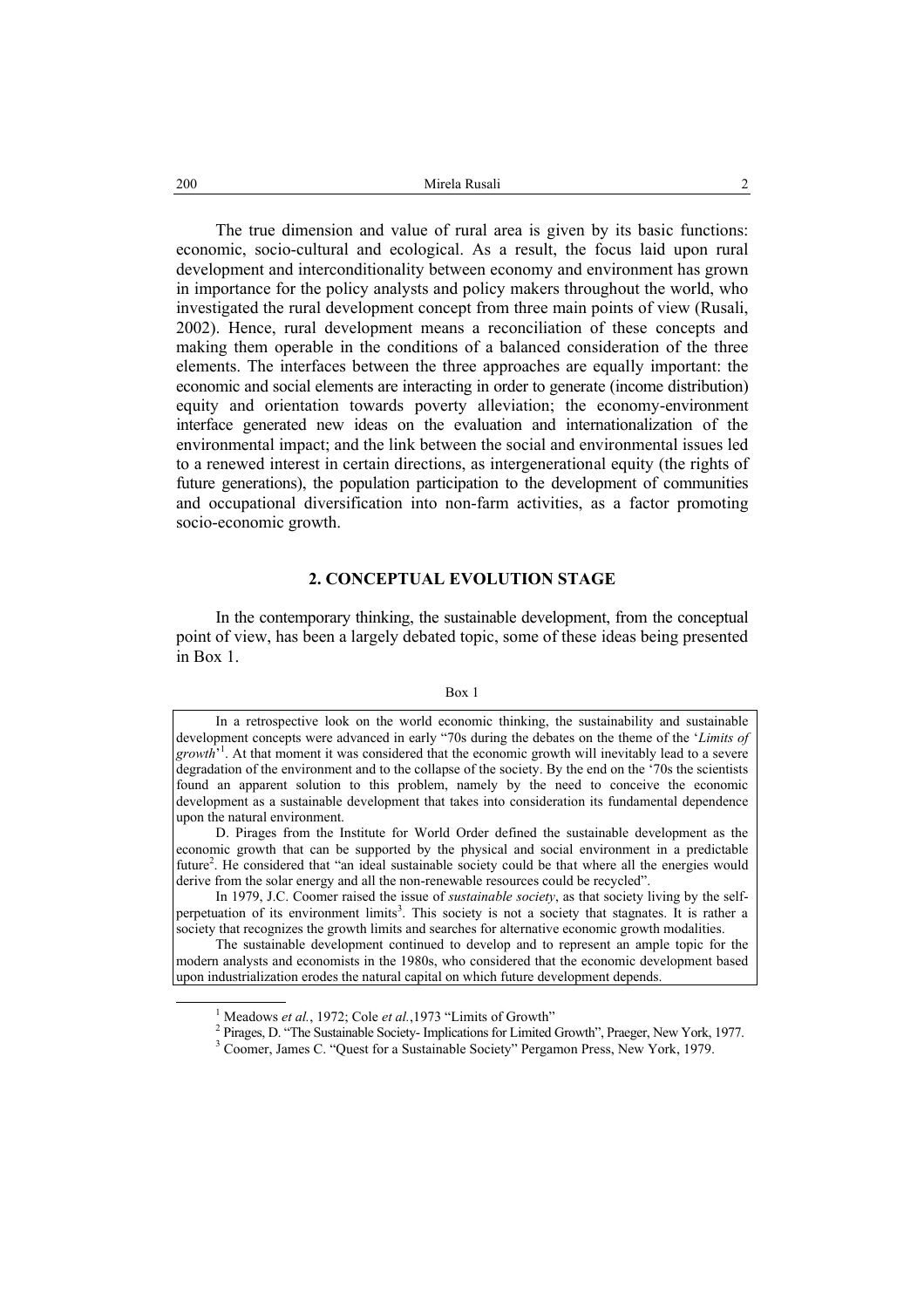Mirela Rusali 2 200

The true dimension and value of rural area is given by its basic functions: economic, socio-cultural and ecological. As a result, the focus laid upon rural development and interconditionality between economy and environment has grown in importance for the policy analysts and policy makers throughout the world, who investigated the rural development concept from three main points of view (Rusali, 2002). Hence, rural development means a reconciliation of these concepts and making them operable in the conditions of a balanced consideration of the three elements. The interfaces between the three approaches are equally important: the economic and social elements are interacting in order to generate (income distribution) equity and orientation towards poverty alleviation; the economy-environment interface generated new ideas on the evaluation and internationalization of the environmental impact; and the link between the social and environmental issues led to a renewed interest in certain directions, as intergenerational equity (the rights of future generations), the population participation to the development of communities and occupational diversification into non-farm activities, as a factor promoting socio-economic growth.

### **2. CONCEPTUAL EVOLUTION STAGE**

In the contemporary thinking, the sustainable development, from the conceptual point of view, has been a largely debated topic, some of these ideas being presented in Box 1.

### Box 1

In a retrospective look on the world economic thinking, the sustainability and sustainable development concepts were advanced in early "70s during the debates on the theme of the '*Limits of*  growth<sup>31</sup>. At that moment it was considered that the economic growth will inevitably lead to a severe degradation of the environment and to the collapse of the society. By the end on the '70s the scientists found an apparent solution to this problem, namely by the need to conceive the economic development as a sustainable development that takes into consideration its fundamental dependence upon the natural environment.

D. Pirages from the Institute for World Order defined the sustainable development as the economic growth that can be supported by the physical and social environment in a predictable future<sup>2</sup>. He considered that "an ideal sustainable society could be that where all the energies would derive from the solar energy and all the non-renewable resources could be recycled".

In 1979, J.C. Coomer raised the issue of *sustainable society*, as that society living by the selfperpetuation of its environment limits<sup>3</sup>. This society is not a society that stagnates. It is rather a society that recognizes the growth limits and searches for alternative economic growth modalities.

The sustainable development continued to develop and to represent an ample topic for the modern analysts and economists in the 1980s, who considered that the economic development based upon industrialization erodes the natural capital on which future development depends.

 $\overline{\phantom{a}}$ <sup>1</sup> Meadows *et al.*, 1972; Cole *et al.*, 1973 "Limits of Growth"

<sup>&</sup>lt;sup>2</sup> Pirages, D. "The Sustainable Society- Implications for Limited Growth", Praeger, New York, 1977.

<sup>&</sup>lt;sup>3</sup> Coomer, James C. "Quest for a Sustainable Society" Pergamon Press, New York, 1979.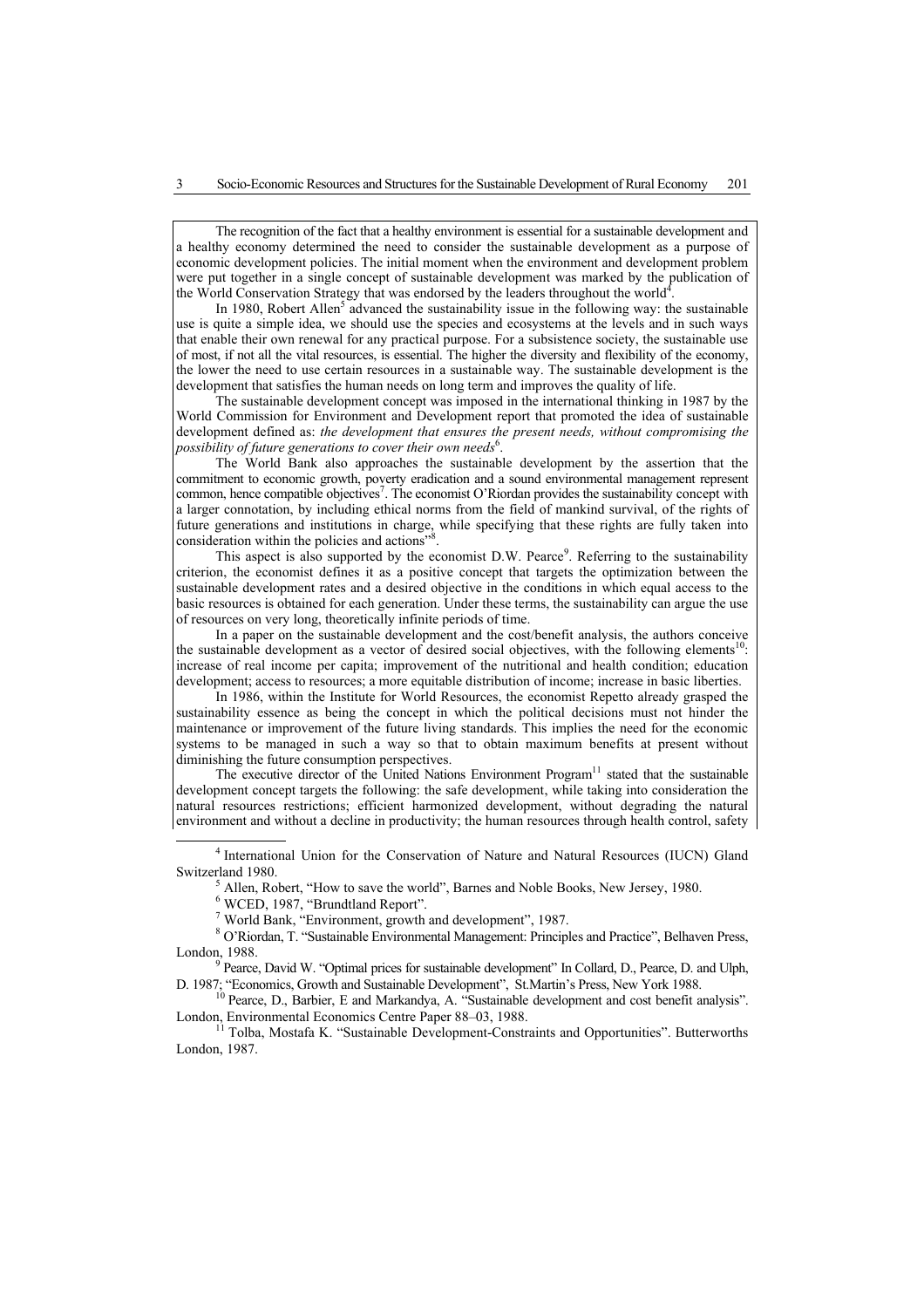The recognition of the fact that a healthy environment is essential for a sustainable development and a healthy economy determined the need to consider the sustainable development as a purpose of economic development policies. The initial moment when the environment and development problem were put together in a single concept of sustainable development was marked by the publication of the World Conservation Strategy that was endorsed by the leaders throughout the world<sup>4</sup>.

In 1980, Robert Allen<sup>5</sup> advanced the sustainability issue in the following way: the sustainable use is quite a simple idea, we should use the species and ecosystems at the levels and in such ways that enable their own renewal for any practical purpose. For a subsistence society, the sustainable use of most, if not all the vital resources, is essential. The higher the diversity and flexibility of the economy, the lower the need to use certain resources in a sustainable way. The sustainable development is the development that satisfies the human needs on long term and improves the quality of life.

The sustainable development concept was imposed in the international thinking in 1987 by the World Commission for Environment and Development report that promoted the idea of sustainable development defined as: *the development that ensures the present needs, without compromising the*  possibility of future generations to cover their own needs<sup>6</sup>.

The World Bank also approaches the sustainable development by the assertion that the commitment to economic growth, poverty eradication and a sound environmental management represent common, hence compatible objectives<sup>7</sup>. The economist O'Riordan provides the sustainability concept with a larger connotation, by including ethical norms from the field of mankind survival, of the rights of future generations and institutions in charge, while specifying that these rights are fully taken into consideration within the policies and actions' .

This aspect is also supported by the economist D.W. Pearce<sup>9</sup>. Referring to the sustainability criterion, the economist defines it as a positive concept that targets the optimization between the sustainable development rates and a desired objective in the conditions in which equal access to the basic resources is obtained for each generation. Under these terms, the sustainability can argue the use of resources on very long, theoretically infinite periods of time.

In a paper on the sustainable development and the cost/benefit analysis, the authors conceive the sustainable development as a vector of desired social objectives, with the following elements<sup>10</sup>: increase of real income per capita; improvement of the nutritional and health condition; education development; access to resources; a more equitable distribution of income; increase in basic liberties.

In 1986, within the Institute for World Resources, the economist Repetto already grasped the sustainability essence as being the concept in which the political decisions must not hinder the maintenance or improvement of the future living standards. This implies the need for the economic systems to be managed in such a way so that to obtain maximum benefits at present without diminishing the future consumption perspectives.

The executive director of the United Nations Environment Program<sup>11</sup> stated that the sustainable development concept targets the following: the safe development, while taking into consideration the natural resources restrictions; efficient harmonized development, without degrading the natural environment and without a decline in productivity; the human resources through health control, safety

 $<sup>5</sup>$  Allen, Robert, "How to save the world", Barnes and Noble Books, New Jersey, 1980.</sup>

World Bank, "Environment, growth and development", 1987.

 O'Riordan, T. "Sustainable Environmental Management: Principles and Practice", Belhaven Press, London, 1988.

<sup>9</sup> Pearce, David W. "Optimal prices for sustainable development" In Collard, D., Pearce, D. and Ulph, D. 1987; "Economics, Growth and Sustainable Development". St.Martin's Press, New York 1988.

10<br>
<sup>10</sup> Pearce, D., Barbier, E and Markandya, A. "Sustainable development and cost benefit analysis".<br>
London, Environmental Economics Centre Paper 88–03, 1988.

 $<sup>1</sup>$  Tolba, Mostafa K. "Sustainable Development-Constraints and Opportunities". Butterworths</sup> London, 1987.

 $\overline{4}$ <sup>4</sup> International Union for the Conservation of Nature and Natural Resources (IUCN) Gland Switzerland 1980.

<sup>&</sup>lt;sup>6</sup> WCED, 1987, "Brundtland Report".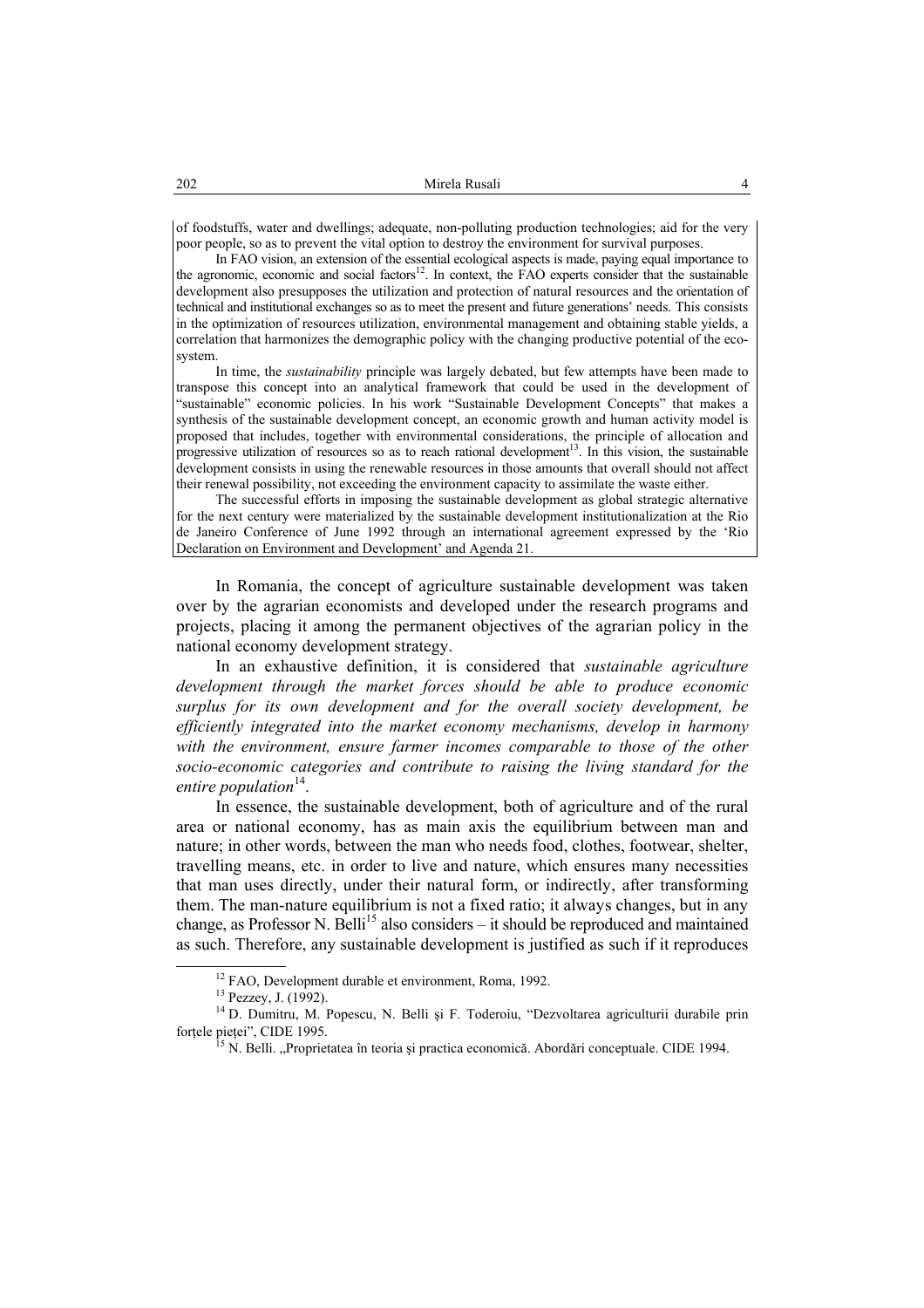of foodstuffs, water and dwellings; adequate, non-polluting production technologies; aid for the very poor people, so as to prevent the vital option to destroy the environment for survival purposes.

In FAO vision, an extension of the essential ecological aspects is made, paying equal importance to the agronomic, economic and social factors<sup>12</sup>. In context, the FAO experts consider that the sustainable development also presupposes the utilization and protection of natural resources and the orientation of technical and institutional exchanges so as to meet the present and future generations' needs. This consists in the optimization of resources utilization, environmental management and obtaining stable yields, a correlation that harmonizes the demographic policy with the changing productive potential of the ecosystem.

In time, the *sustainability* principle was largely debated, but few attempts have been made to transpose this concept into an analytical framework that could be used in the development of "sustainable" economic policies. In his work "Sustainable Development Concepts" that makes a synthesis of the sustainable development concept, an economic growth and human activity model is proposed that includes, together with environmental considerations, the principle of allocation and progressive utilization of resources so as to reach rational development<sup>13</sup>. In this vision, the sustainable development consists in using the renewable resources in those amounts that overall should not affect their renewal possibility, not exceeding the environment capacity to assimilate the waste either.

The successful efforts in imposing the sustainable development as global strategic alternative for the next century were materialized by the sustainable development institutionalization at the Rio de Janeiro Conference of June 1992 through an international agreement expressed by the 'Rio Declaration on Environment and Development' and Agenda 21.

In Romania, the concept of agriculture sustainable development was taken over by the agrarian economists and developed under the research programs and projects, placing it among the permanent objectives of the agrarian policy in the national economy development strategy.

In an exhaustive definition, it is considered that *sustainable agriculture development through the market forces should be able to produce economic surplus for its own development and for the overall society development, be efficiently integrated into the market economy mechanisms, develop in harmony with the environment, ensure farmer incomes comparable to those of the other socio-economic categories and contribute to raising the living standard for the entire population*<sup>14</sup>.

In essence, the sustainable development, both of agriculture and of the rural area or national economy, has as main axis the equilibrium between man and nature; in other words, between the man who needs food, clothes, footwear, shelter, travelling means, etc. in order to live and nature, which ensures many necessities that man uses directly, under their natural form, or indirectly, after transforming them. The man-nature equilibrium is not a fixed ratio; it always changes, but in any change, as Professor N. Belli<sup>15</sup> also considers  $-$  it should be reproduced and maintained as such. Therefore, any sustainable development is justified as such if it reproduces

<sup>&</sup>lt;sup>12</sup> FAO, Development durable et environment, Roma, 1992.<br><sup>13</sup> Pezzey, J. (1992).

<sup>&</sup>lt;sup>14</sup> D. Dumitru, M. Popescu, N. Belli și F. Toderoiu, "Dezvoltarea agriculturii durabile prin forțele pieței", CIDE 1995.

 $^5$ N. Belli. "Proprietatea în teoria și practica economică. Abordări conceptuale. CIDE 1994.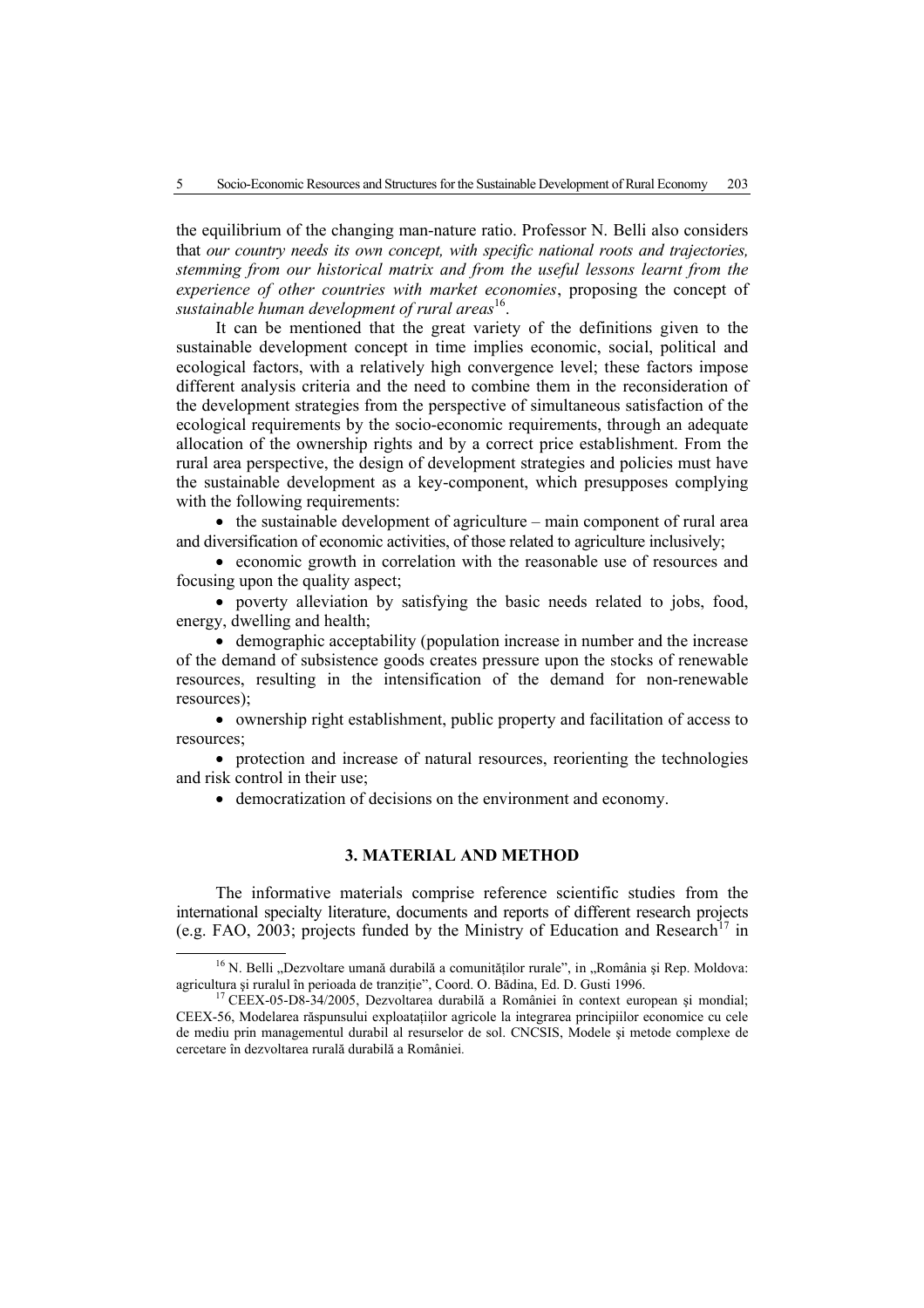the equilibrium of the changing man-nature ratio. Professor N. Belli also considers that *our country needs its own concept, with specific national roots and trajectories, stemming from our historical matrix and from the useful lessons learnt from the experience of other countries with market economies*, proposing the concept of *sustainable human development of rural areas*16.

It can be mentioned that the great variety of the definitions given to the sustainable development concept in time implies economic, social, political and ecological factors, with a relatively high convergence level; these factors impose different analysis criteria and the need to combine them in the reconsideration of the development strategies from the perspective of simultaneous satisfaction of the ecological requirements by the socio-economic requirements, through an adequate allocation of the ownership rights and by a correct price establishment. From the rural area perspective, the design of development strategies and policies must have the sustainable development as a key-component, which presupposes complying with the following requirements:

• the sustainable development of agriculture – main component of rural area and diversification of economic activities, of those related to agriculture inclusively;

• economic growth in correlation with the reasonable use of resources and focusing upon the quality aspect;

• poverty alleviation by satisfying the basic needs related to jobs, food, energy, dwelling and health;

• demographic acceptability (population increase in number and the increase of the demand of subsistence goods creates pressure upon the stocks of renewable resources, resulting in the intensification of the demand for non-renewable resources);

• ownership right establishment, public property and facilitation of access to resources;

• protection and increase of natural resources, reorienting the technologies and risk control in their use;

• democratization of decisions on the environment and economy.

# **3. MATERIAL AND METHOD**

The informative materials comprise reference scientific studies from the international specialty literature, documents and reports of different research projects (e.g. FAO, 2003; projects funded by the Ministry of Education and Research<sup>17</sup> in

 $16$  N. Belli "Dezvoltare umană durabilă a comunităților rurale", in "România și Rep. Moldova: agricultura și ruralul în perioada de tranziție", Coord. O. Bădina, Ed. D. Gusti 1996.<br><sup>17</sup> CEEX-05-D8-34/2005, Dezvoltarea durabilă a României în context european și mondial;

CEEX-56, Modelarea răspunsului exploataţiilor agricole la integrarea principiilor economice cu cele de mediu prin managementul durabil al resurselor de sol. CNCSIS, Modele şi metode complexe de cercetare în dezvoltarea rurală durabilă a României*.*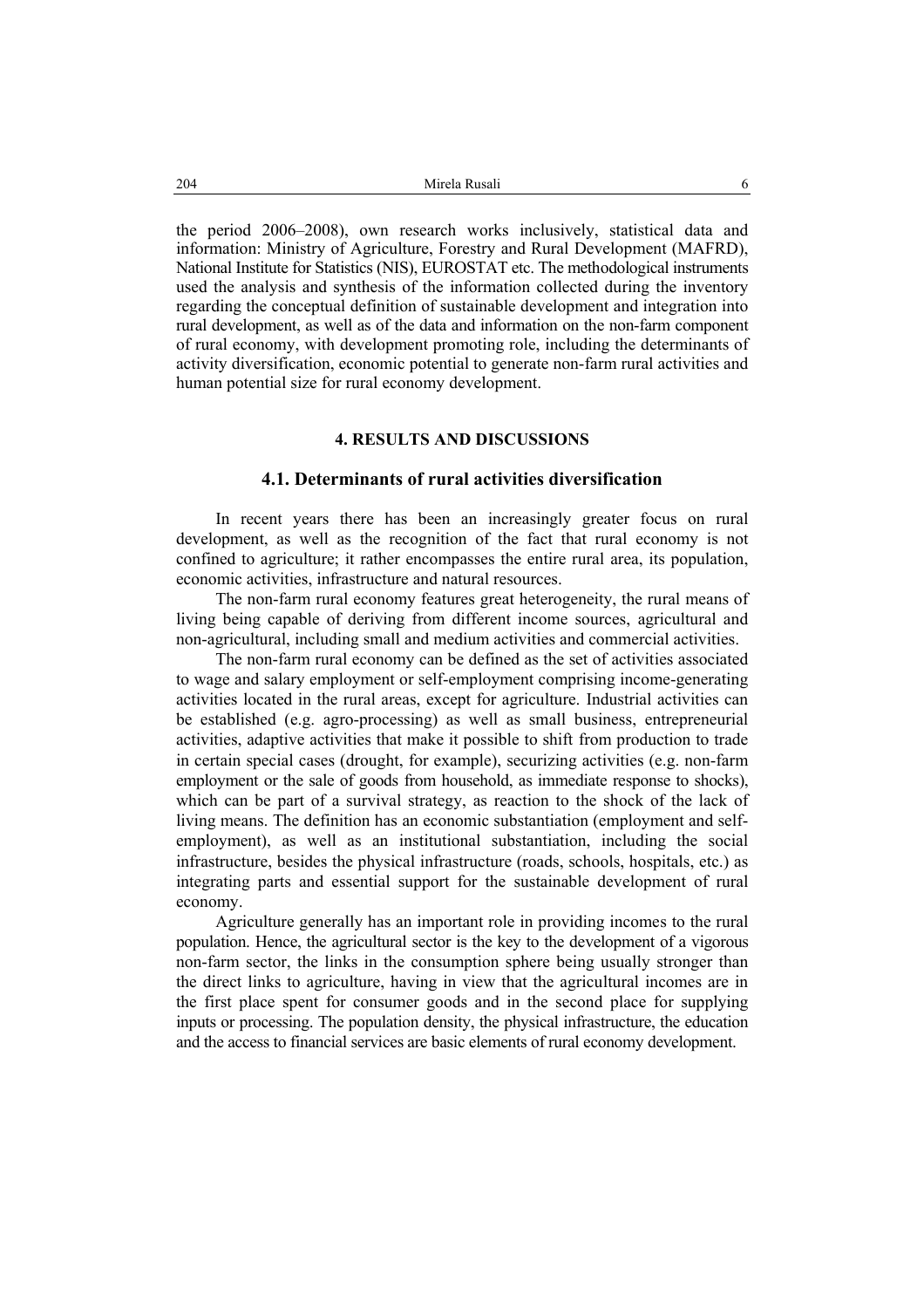the period 2006–2008), own research works inclusively, statistical data and information: Ministry of Agriculture, Forestry and Rural Development (MAFRD), National Institute for Statistics (NIS), EUROSTAT etc. The methodological instruments used the analysis and synthesis of the information collected during the inventory regarding the conceptual definition of sustainable development and integration into rural development, as well as of the data and information on the non-farm component of rural economy, with development promoting role, including the determinants of activity diversification, economic potential to generate non-farm rural activities and human potential size for rural economy development.

# **4. RESULTS AND DISCUSSIONS**

### **4.1. Determinants of rural activities diversification**

In recent years there has been an increasingly greater focus on rural development, as well as the recognition of the fact that rural economy is not confined to agriculture; it rather encompasses the entire rural area, its population, economic activities, infrastructure and natural resources.

The non-farm rural economy features great heterogeneity, the rural means of living being capable of deriving from different income sources, agricultural and non-agricultural, including small and medium activities and commercial activities.

The non-farm rural economy can be defined as the set of activities associated to wage and salary employment or self-employment comprising income-generating activities located in the rural areas, except for agriculture. Industrial activities can be established (e.g. agro-processing) as well as small business, entrepreneurial activities, adaptive activities that make it possible to shift from production to trade in certain special cases (drought, for example), securizing activities (e.g. non-farm employment or the sale of goods from household, as immediate response to shocks), which can be part of a survival strategy, as reaction to the shock of the lack of living means. The definition has an economic substantiation (employment and selfemployment), as well as an institutional substantiation, including the social infrastructure, besides the physical infrastructure (roads, schools, hospitals, etc.) as integrating parts and essential support for the sustainable development of rural economy.

Agriculture generally has an important role in providing incomes to the rural population. Hence, the agricultural sector is the key to the development of a vigorous non-farm sector, the links in the consumption sphere being usually stronger than the direct links to agriculture, having in view that the agricultural incomes are in the first place spent for consumer goods and in the second place for supplying inputs or processing. The population density, the physical infrastructure, the education and the access to financial services are basic elements of rural economy development.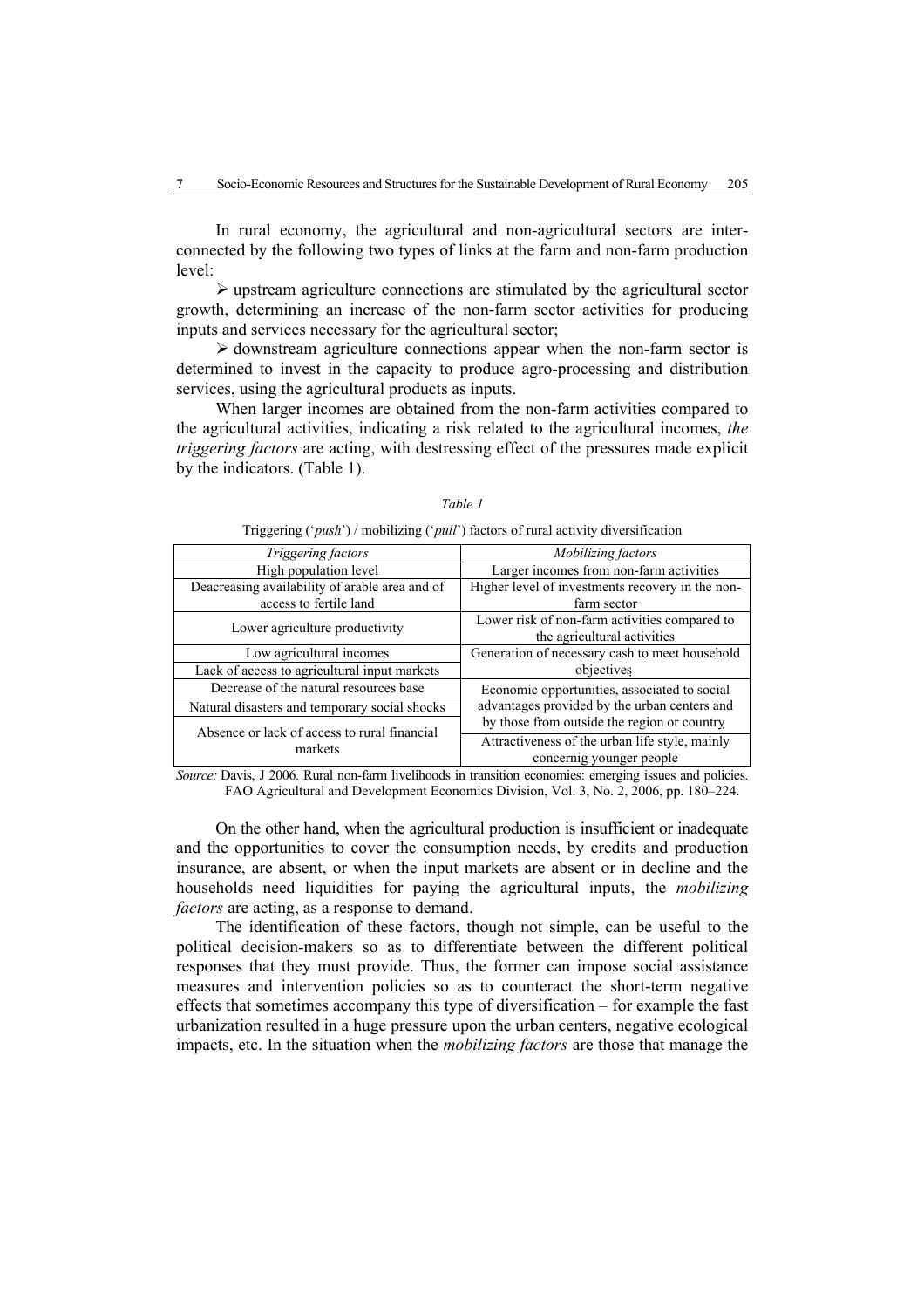In rural economy, the agricultural and non-agricultural sectors are interconnected by the following two types of links at the farm and non-farm production level:

 $\triangleright$  upstream agriculture connections are stimulated by the agricultural sector growth, determining an increase of the non-farm sector activities for producing inputs and services necessary for the agricultural sector;

 $\triangleright$  downstream agriculture connections appear when the non-farm sector is determined to invest in the capacity to produce agro-processing and distribution services, using the agricultural products as inputs.

When larger incomes are obtained from the non-farm activities compared to the agricultural activities, indicating a risk related to the agricultural incomes, *the triggering factors* are acting, with destressing effect of the pressures made explicit by the indicators. (Table 1).

| <i>Triggering factors</i>                               | <i>Mobilizing factors</i>                        |
|---------------------------------------------------------|--------------------------------------------------|
| High population level                                   | Larger incomes from non-farm activities          |
| Deacreasing availability of arable area and of          | Higher level of investments recovery in the non- |
| access to fertile land                                  | farm sector                                      |
| Lower agriculture productivity                          | Lower risk of non-farm activities compared to    |
|                                                         | the agricultural activities                      |
| Low agricultural incomes                                | Generation of necessary cash to meet household   |
| Lack of access to agricultural input markets            | objectives                                       |
| Decrease of the natural resources base                  | Economic opportunities, associated to social     |
| Natural disasters and temporary social shocks           | advantages provided by the urban centers and     |
| Absence or lack of access to rural financial<br>markets | by those from outside the region or country      |
|                                                         | Attractiveness of the urban life style, mainly   |
|                                                         | concernig younger people                         |

|--|--|

Triggering ('*push*') / mobilizing ('*pull*') factors of rural activity diversification

*Source:* Davis, J 2006. Rural non-farm livelihoods in transition economies: emerging issues and policies. FAO Agricultural and Development Economics Division, Vol. 3, No. 2, 2006, pp. 180–224.

On the other hand, when the agricultural production is insufficient or inadequate and the opportunities to cover the consumption needs, by credits and production insurance, are absent, or when the input markets are absent or in decline and the households need liquidities for paying the agricultural inputs, the *mobilizing factors* are acting, as a response to demand.

The identification of these factors, though not simple, can be useful to the political decision-makers so as to differentiate between the different political responses that they must provide. Thus, the former can impose social assistance measures and intervention policies so as to counteract the short-term negative effects that sometimes accompany this type of diversification – for example the fast urbanization resulted in a huge pressure upon the urban centers, negative ecological impacts, etc. In the situation when the *mobilizing factors* are those that manage the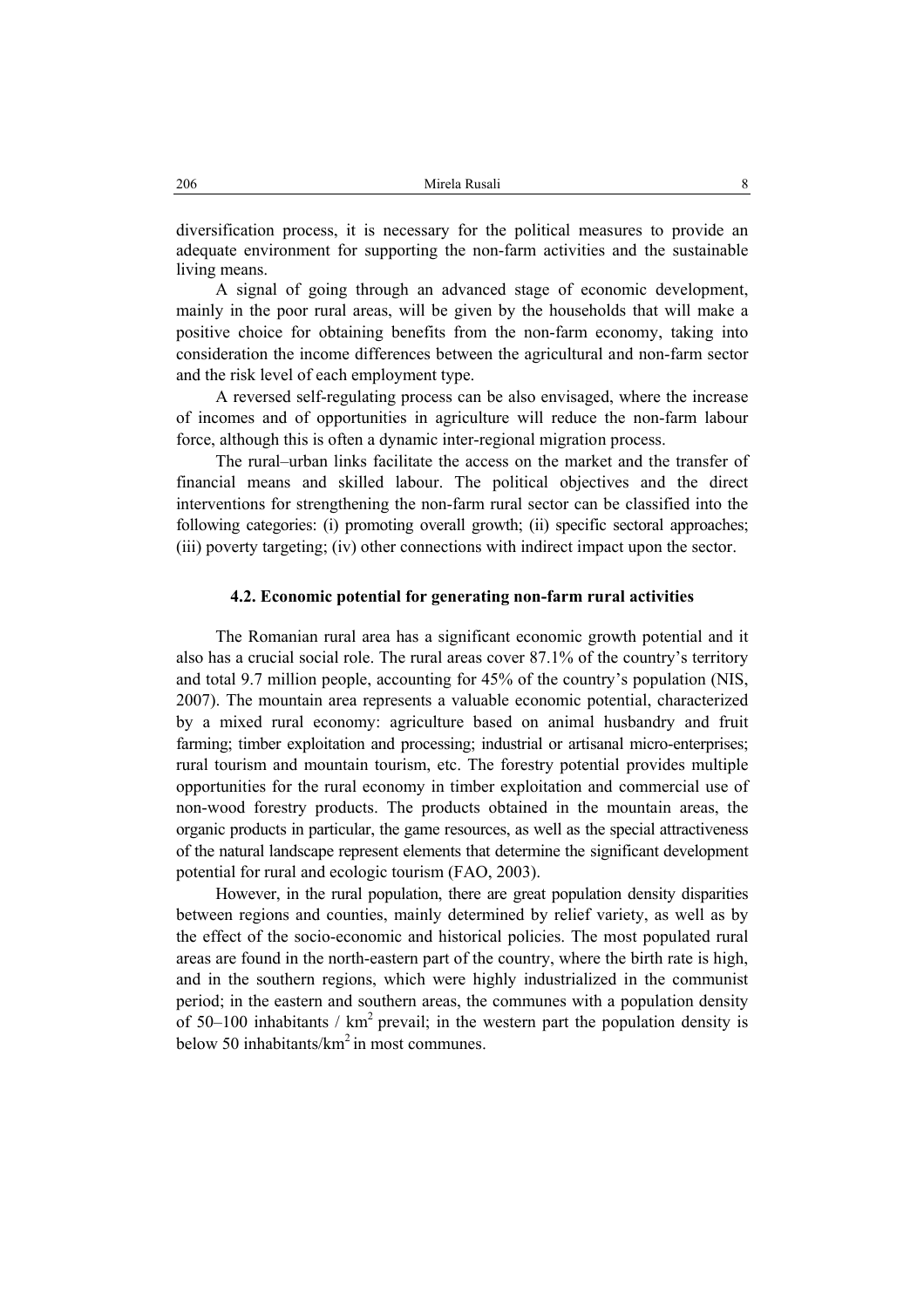diversification process, it is necessary for the political measures to provide an adequate environment for supporting the non-farm activities and the sustainable living means.

A signal of going through an advanced stage of economic development, mainly in the poor rural areas, will be given by the households that will make a positive choice for obtaining benefits from the non-farm economy, taking into consideration the income differences between the agricultural and non-farm sector and the risk level of each employment type.

A reversed self-regulating process can be also envisaged, where the increase of incomes and of opportunities in agriculture will reduce the non-farm labour force, although this is often a dynamic inter-regional migration process.

The rural–urban links facilitate the access on the market and the transfer of financial means and skilled labour. The political objectives and the direct interventions for strengthening the non-farm rural sector can be classified into the following categories: (i) promoting overall growth; (ii) specific sectoral approaches; (iii) poverty targeting; (iv) other connections with indirect impact upon the sector.

### **4.2. Economic potential for generating non-farm rural activities**

The Romanian rural area has a significant economic growth potential and it also has a crucial social role. The rural areas cover 87.1% of the country's territory and total 9.7 million people, accounting for 45% of the country's population (NIS, 2007). The mountain area represents a valuable economic potential, characterized by a mixed rural economy: agriculture based on animal husbandry and fruit farming; timber exploitation and processing; industrial or artisanal micro-enterprises; rural tourism and mountain tourism, etc. The forestry potential provides multiple opportunities for the rural economy in timber exploitation and commercial use of non-wood forestry products. The products obtained in the mountain areas, the organic products in particular, the game resources, as well as the special attractiveness of the natural landscape represent elements that determine the significant development potential for rural and ecologic tourism (FAO, 2003).

However, in the rural population, there are great population density disparities between regions and counties, mainly determined by relief variety, as well as by the effect of the socio-economic and historical policies. The most populated rural areas are found in the north-eastern part of the country, where the birth rate is high, and in the southern regions, which were highly industrialized in the communist period; in the eastern and southern areas, the communes with a population density of 50–100 inhabitants /  $km^2$  prevail; in the western part the population density is below 50 inhabitants/ $km^2$  in most communes.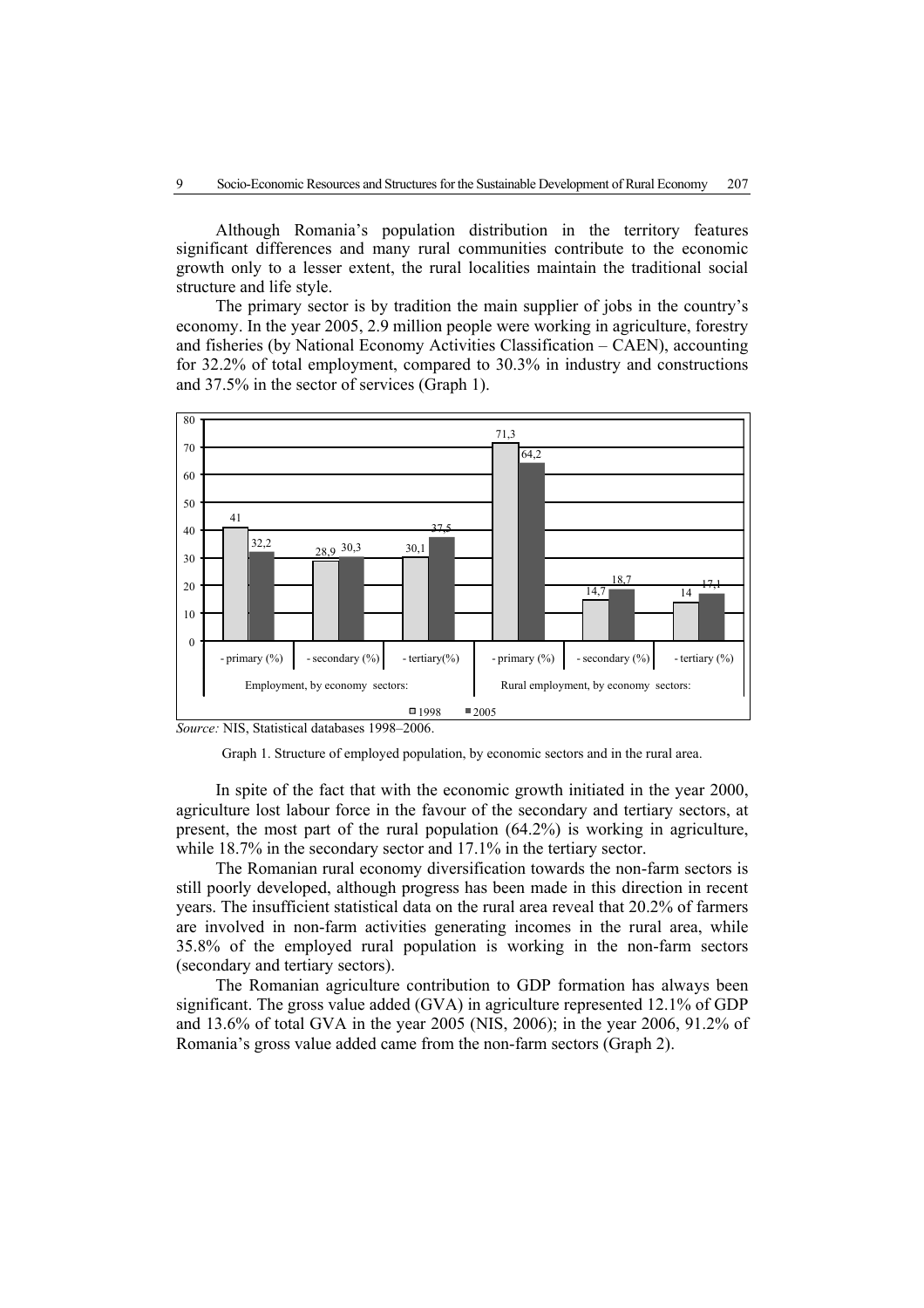Although Romania's population distribution in the territory features significant differences and many rural communities contribute to the economic growth only to a lesser extent, the rural localities maintain the traditional social structure and life style.

The primary sector is by tradition the main supplier of jobs in the country's economy. In the year 2005, 2.9 million people were working in agriculture, forestry and fisheries (by National Economy Activities Classification – CAEN), accounting for 32.2% of total employment, compared to 30.3% in industry and constructions and 37.5% in the sector of services (Graph 1).



*Source:* NIS, Statistical databases 1998–2006.



In spite of the fact that with the economic growth initiated in the year 2000, agriculture lost labour force in the favour of the secondary and tertiary sectors, at present, the most part of the rural population (64.2%) is working in agriculture, while 18.7% in the secondary sector and 17.1% in the tertiary sector.

The Romanian rural economy diversification towards the non-farm sectors is still poorly developed, although progress has been made in this direction in recent years. The insufficient statistical data on the rural area reveal that 20.2% of farmers are involved in non-farm activities generating incomes in the rural area, while 35.8% of the employed rural population is working in the non-farm sectors (secondary and tertiary sectors).

The Romanian agriculture contribution to GDP formation has always been significant. The gross value added (GVA) in agriculture represented 12.1% of GDP and 13.6% of total GVA in the year 2005 (NIS, 2006); in the year 2006, 91.2% of Romania's gross value added came from the non-farm sectors (Graph 2).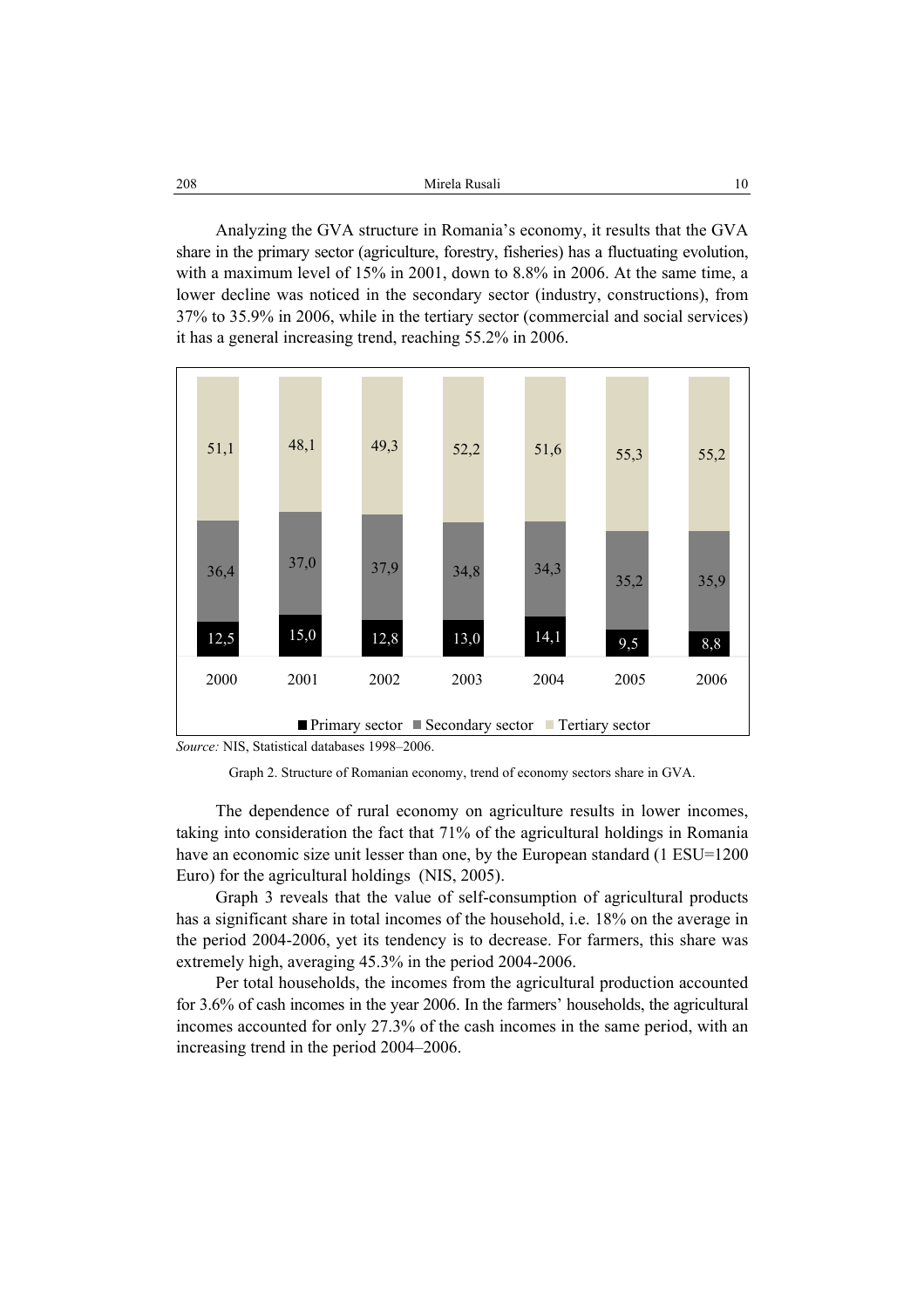| 208 | Mirela Rusali |  |
|-----|---------------|--|
|     |               |  |

Analyzing the GVA structure in Romania's economy, it results that the GVA share in the primary sector (agriculture, forestry, fisheries) has a fluctuating evolution, with a maximum level of 15% in 2001, down to 8.8% in 2006. At the same time, a lower decline was noticed in the secondary sector (industry, constructions), from 37% to 35.9% in 2006, while in the tertiary sector (commercial and social services) it has a general increasing trend, reaching 55.2% in 2006.



*Source:* NIS, Statistical databases 1998–2006.

Graph 2. Structure of Romanian economy, trend of economy sectors share in GVA.

The dependence of rural economy on agriculture results in lower incomes, taking into consideration the fact that 71% of the agricultural holdings in Romania have an economic size unit lesser than one, by the European standard (1 ESU=1200) Euro) for the agricultural holdings (NIS, 2005).

Graph 3 reveals that the value of self-consumption of agricultural products has a significant share in total incomes of the household, i.e. 18% on the average in the period 2004-2006, yet its tendency is to decrease. For farmers, this share was extremely high, averaging 45.3% in the period 2004-2006.

Per total households, the incomes from the agricultural production accounted for 3.6% of cash incomes in the year 2006. In the farmers' households, the agricultural incomes accounted for only 27.3% of the cash incomes in the same period, with an increasing trend in the period 2004–2006.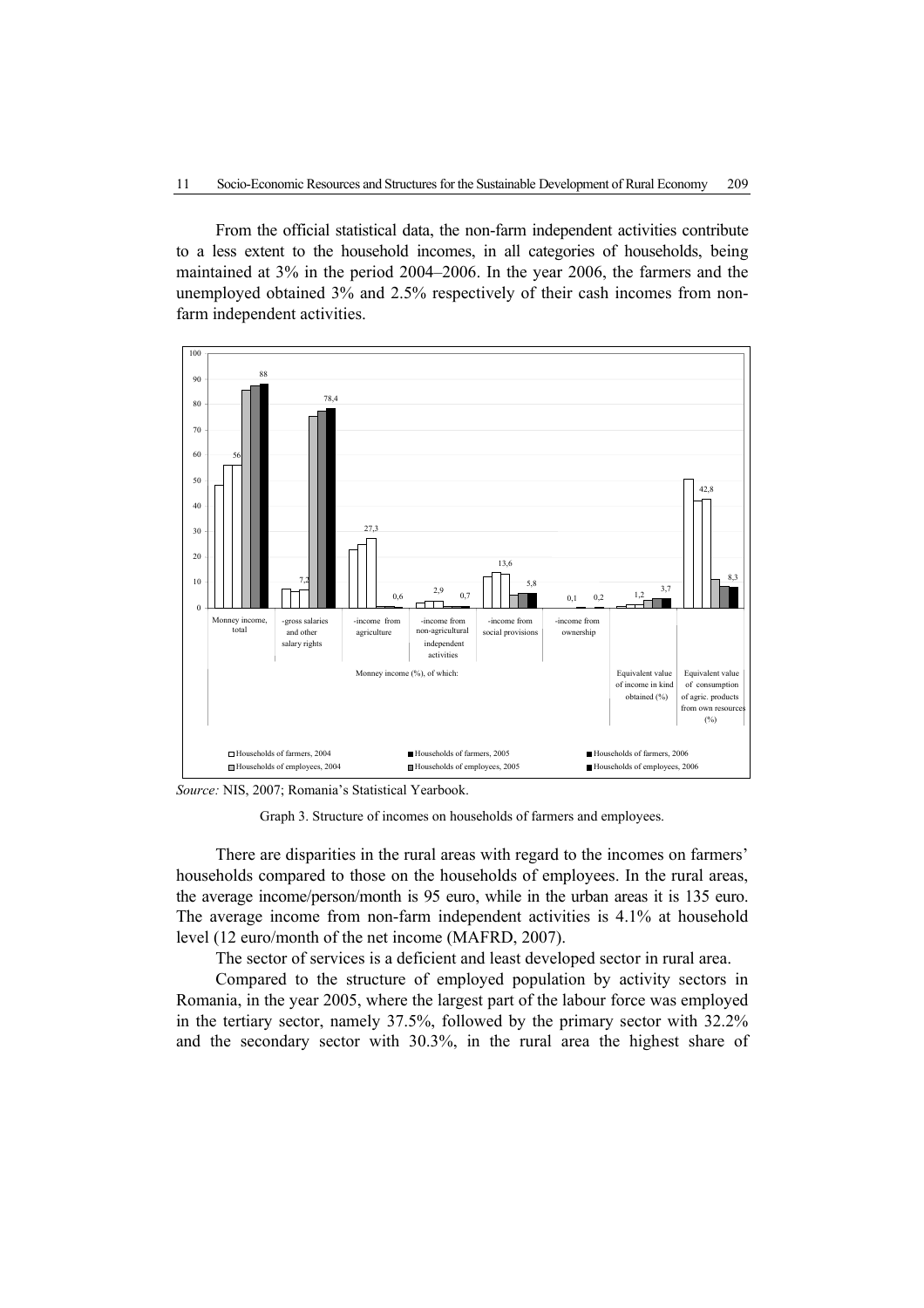From the official statistical data, the non-farm independent activities contribute to a less extent to the household incomes, in all categories of households, being maintained at 3% in the period 2004–2006. In the year 2006, the farmers and the unemployed obtained 3% and 2.5% respectively of their cash incomes from nonfarm independent activities.



*Source:* NIS, 2007; Romania's Statistical Yearbook.

Graph 3. Structure of incomes on households of farmers and employees.

There are disparities in the rural areas with regard to the incomes on farmers' households compared to those on the households of employees. In the rural areas, the average income/person/month is 95 euro, while in the urban areas it is 135 euro. The average income from non-farm independent activities is 4.1% at household level (12 euro/month of the net income (MAFRD, 2007).

The sector of services is a deficient and least developed sector in rural area.

Compared to the structure of employed population by activity sectors in Romania, in the year 2005, where the largest part of the labour force was employed in the tertiary sector, namely 37.5%, followed by the primary sector with 32.2% and the secondary sector with 30.3%, in the rural area the highest share of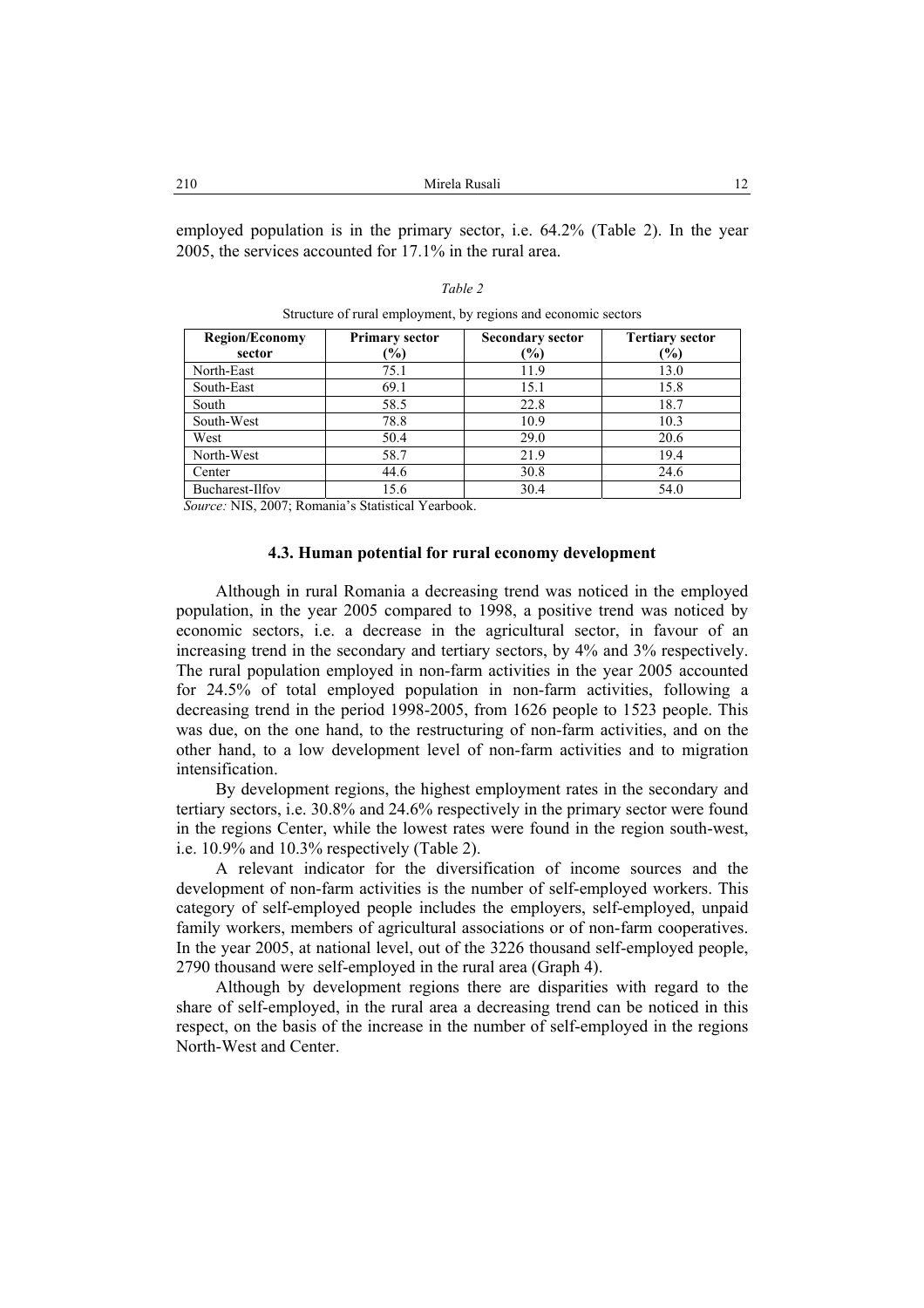employed population is in the primary sector, i.e. 64.2% (Table 2). In the year 2005, the services accounted for 17.1% in the rural area.

Structure of rural employment, by regions and economic sectors

| <b>Region/Economy</b><br>sector | <b>Primary sector</b><br>$(\%)$ | <b>Secondary sector</b><br>(%) | <b>Tertiary sector</b><br>$(\%)$ |
|---------------------------------|---------------------------------|--------------------------------|----------------------------------|
| North-East                      | 75.1                            | 11.9                           | 13.0                             |
|                                 |                                 |                                |                                  |
| South-East                      | 69.1                            | 15.1                           | 15.8                             |
| South                           | 58.5                            | 22.8                           | 18.7                             |
| South-West                      | 78.8                            | 10.9                           | 10.3                             |
| West                            | 50.4                            | 29.0                           | 20.6                             |
| North-West                      | 58.7                            | 21.9                           | 19.4                             |
| Center                          | 44.6                            | 30.8                           | 24.6                             |
| Bucharest-Ilfov                 | 15.6                            | 30.4                           | 54.0                             |

*Source:* NIS, 2007; Romania's Statistical Yearbook.

# **4.3. Human potential for rural economy development**

Although in rural Romania a decreasing trend was noticed in the employed population, in the year 2005 compared to 1998, a positive trend was noticed by economic sectors, i.e. a decrease in the agricultural sector, in favour of an increasing trend in the secondary and tertiary sectors, by 4% and 3% respectively. The rural population employed in non-farm activities in the year 2005 accounted for 24.5% of total employed population in non-farm activities, following a decreasing trend in the period 1998-2005, from 1626 people to 1523 people. This was due, on the one hand, to the restructuring of non-farm activities, and on the other hand, to a low development level of non-farm activities and to migration intensification.

By development regions, the highest employment rates in the secondary and tertiary sectors, i.e. 30.8% and 24.6% respectively in the primary sector were found in the regions Center, while the lowest rates were found in the region south-west, i.e. 10.9% and 10.3% respectively (Table 2).

A relevant indicator for the diversification of income sources and the development of non-farm activities is the number of self-employed workers. This category of self-employed people includes the employers, self-employed, unpaid family workers, members of agricultural associations or of non-farm cooperatives. In the year 2005, at national level, out of the 3226 thousand self-employed people, 2790 thousand were self-employed in the rural area (Graph 4).

Although by development regions there are disparities with regard to the share of self-employed, in the rural area a decreasing trend can be noticed in this respect, on the basis of the increase in the number of self-employed in the regions North-West and Center.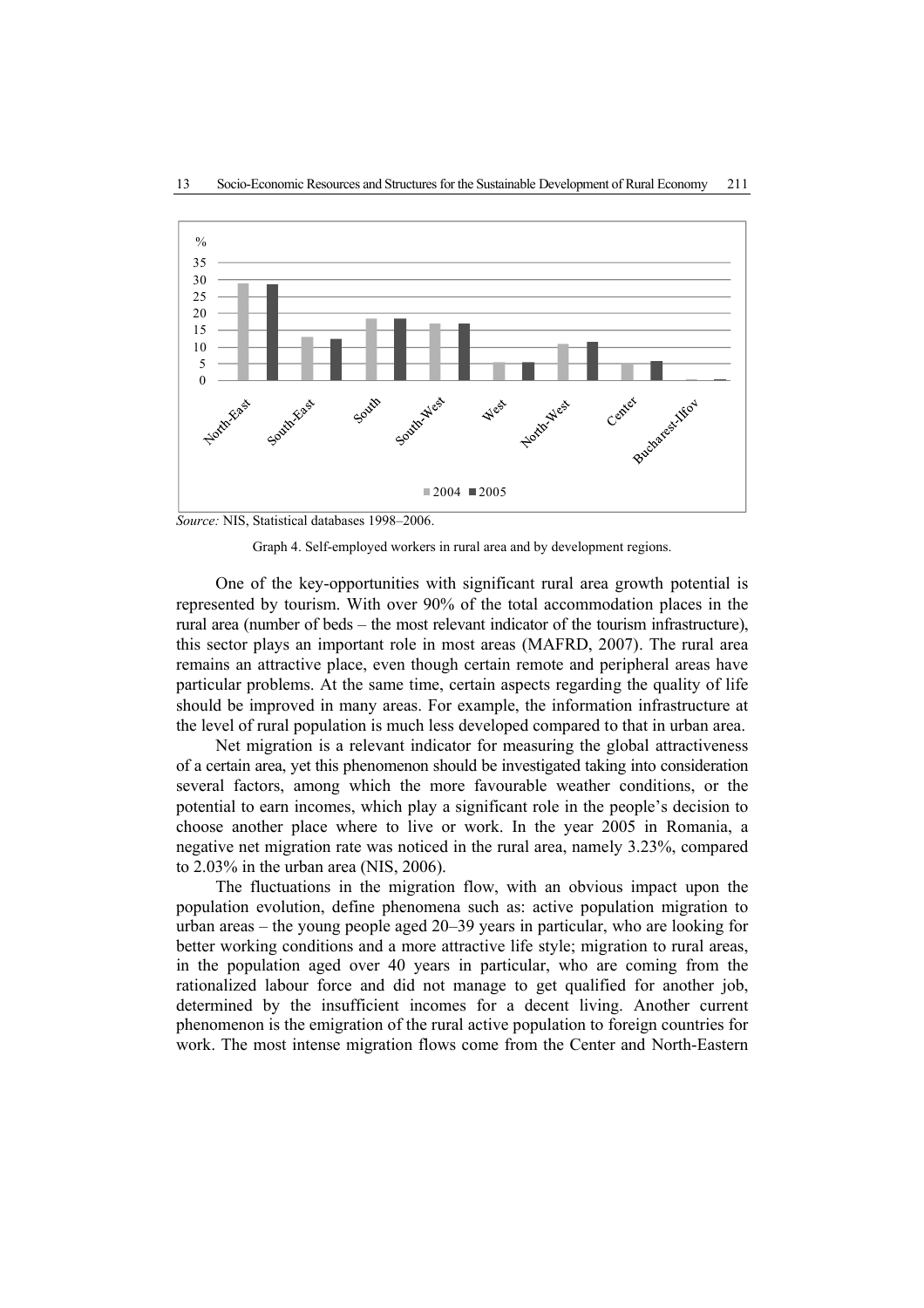

*Source:* NIS, Statistical databases 1998–2006.

Graph 4. Self-employed workers in rural area and by development regions.

One of the key-opportunities with significant rural area growth potential is represented by tourism. With over 90% of the total accommodation places in the rural area (number of beds – the most relevant indicator of the tourism infrastructure), this sector plays an important role in most areas (MAFRD, 2007). The rural area remains an attractive place, even though certain remote and peripheral areas have particular problems. At the same time, certain aspects regarding the quality of life should be improved in many areas. For example, the information infrastructure at the level of rural population is much less developed compared to that in urban area.

Net migration is a relevant indicator for measuring the global attractiveness of a certain area, yet this phenomenon should be investigated taking into consideration several factors, among which the more favourable weather conditions, or the potential to earn incomes, which play a significant role in the people's decision to choose another place where to live or work. In the year 2005 in Romania, a negative net migration rate was noticed in the rural area, namely 3.23%, compared to 2.03% in the urban area (NIS, 2006).

The fluctuations in the migration flow, with an obvious impact upon the population evolution, define phenomena such as: active population migration to urban areas – the young people aged 20–39 years in particular, who are looking for better working conditions and a more attractive life style; migration to rural areas, in the population aged over 40 years in particular, who are coming from the rationalized labour force and did not manage to get qualified for another job, determined by the insufficient incomes for a decent living. Another current phenomenon is the emigration of the rural active population to foreign countries for work. The most intense migration flows come from the Center and North-Eastern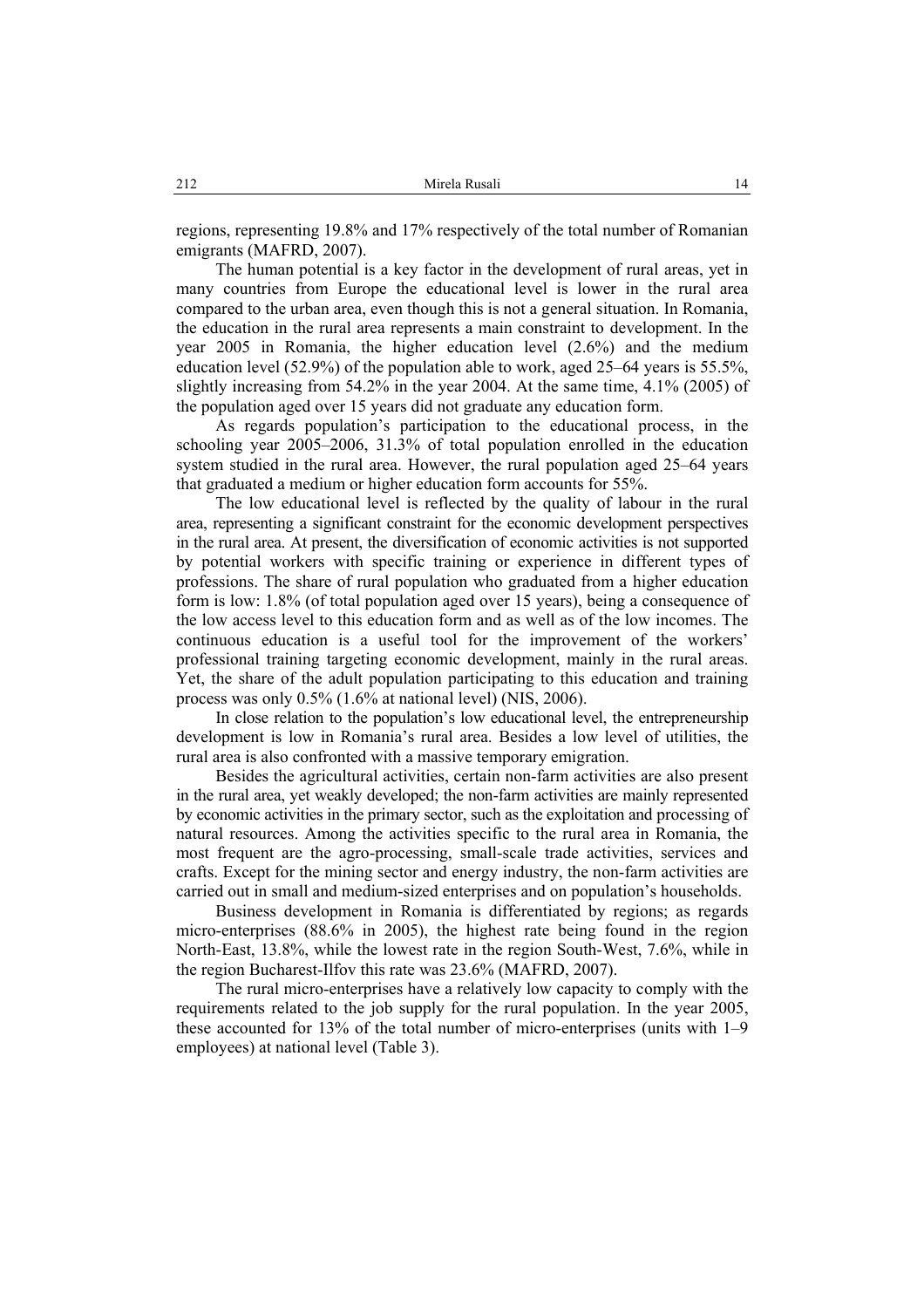regions, representing 19.8% and 17% respectively of the total number of Romanian emigrants (MAFRD, 2007).

The human potential is a key factor in the development of rural areas, yet in many countries from Europe the educational level is lower in the rural area compared to the urban area, even though this is not a general situation. In Romania, the education in the rural area represents a main constraint to development. In the year 2005 in Romania, the higher education level (2.6%) and the medium education level (52.9%) of the population able to work, aged 25–64 years is 55.5%, slightly increasing from 54.2% in the year 2004. At the same time, 4.1% (2005) of the population aged over 15 years did not graduate any education form.

As regards population's participation to the educational process, in the schooling year 2005–2006, 31.3% of total population enrolled in the education system studied in the rural area. However, the rural population aged 25–64 years that graduated a medium or higher education form accounts for 55%.

The low educational level is reflected by the quality of labour in the rural area, representing a significant constraint for the economic development perspectives in the rural area. At present, the diversification of economic activities is not supported by potential workers with specific training or experience in different types of professions. The share of rural population who graduated from a higher education form is low: 1.8% (of total population aged over 15 years), being a consequence of the low access level to this education form and as well as of the low incomes. The continuous education is a useful tool for the improvement of the workers' professional training targeting economic development, mainly in the rural areas. Yet, the share of the adult population participating to this education and training process was only 0.5% (1.6% at national level) (NIS, 2006).

In close relation to the population's low educational level, the entrepreneurship development is low in Romania's rural area. Besides a low level of utilities, the rural area is also confronted with a massive temporary emigration.

Besides the agricultural activities, certain non-farm activities are also present in the rural area, yet weakly developed; the non-farm activities are mainly represented by economic activities in the primary sector, such as the exploitation and processing of natural resources. Among the activities specific to the rural area in Romania, the most frequent are the agro-processing, small-scale trade activities, services and crafts. Except for the mining sector and energy industry, the non-farm activities are carried out in small and medium-sized enterprises and on population's households.

Business development in Romania is differentiated by regions; as regards micro-enterprises (88.6% in 2005), the highest rate being found in the region North-East, 13.8%, while the lowest rate in the region South-West, 7.6%, while in the region Bucharest-Ilfov this rate was 23.6% (MAFRD, 2007).

The rural micro-enterprises have a relatively low capacity to comply with the requirements related to the job supply for the rural population. In the year 2005, these accounted for 13% of the total number of micro-enterprises (units with 1–9 employees) at national level (Table 3).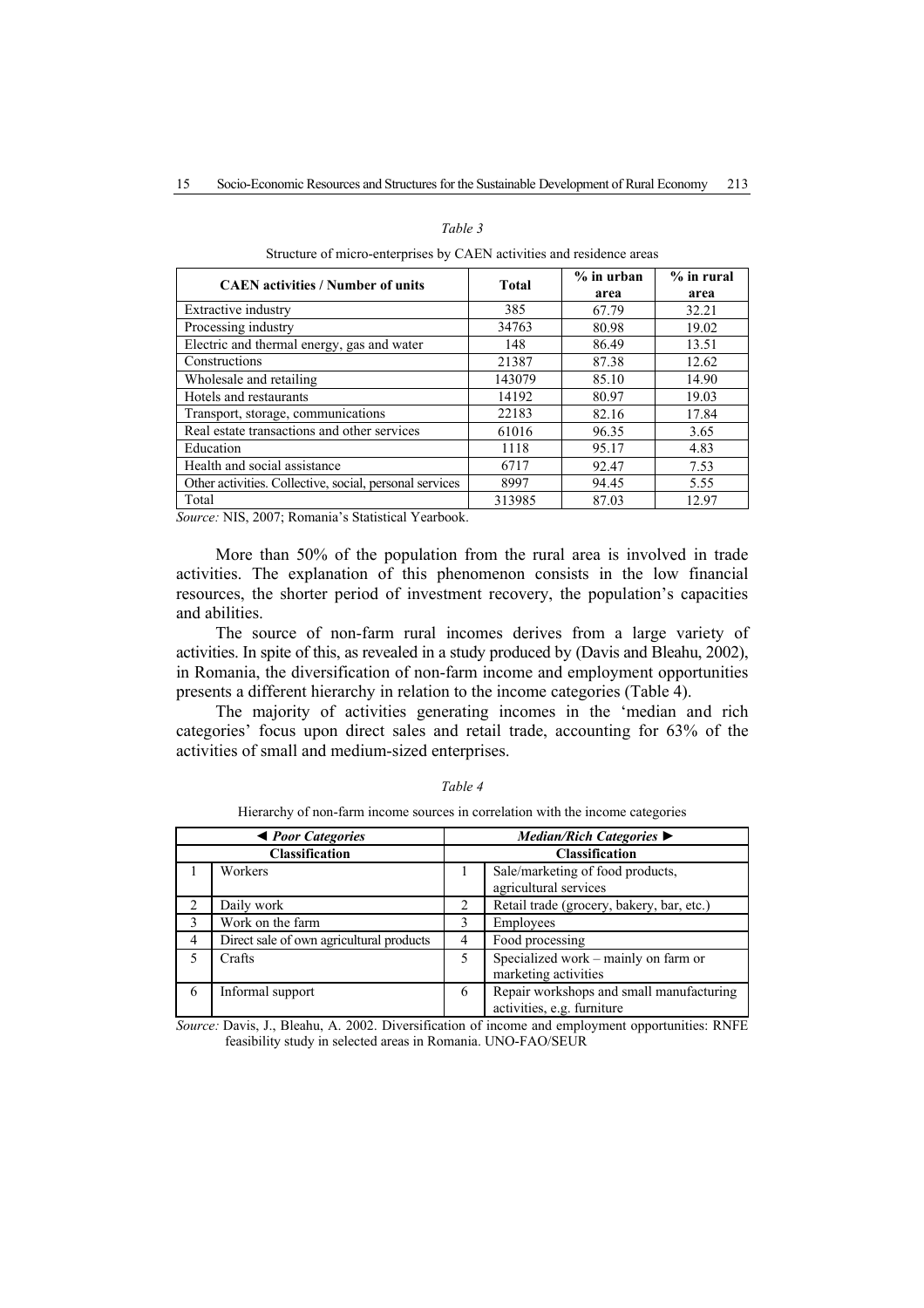### *Table 3*

| <b>CAEN</b> activities / Number of units                | <b>Total</b> | $%$ in urban<br>area | $%$ in rural<br>area |
|---------------------------------------------------------|--------------|----------------------|----------------------|
| <b>Extractive industry</b>                              | 385          | 67.79                | 32.21                |
| Processing industry                                     | 34763        | 80.98                | 19.02                |
| Electric and thermal energy, gas and water              | 148          | 86.49                | 13.51                |
| Constructions                                           | 21387        | 87.38                | 12.62                |
| Wholesale and retailing                                 | 143079       | 85.10                | 14.90                |
| Hotels and restaurants                                  | 14192        | 80.97                | 19.03                |
| Transport, storage, communications                      | 22183        | 82.16                | 17.84                |
| Real estate transactions and other services             | 61016        | 96.35                | 3.65                 |
| Education                                               | 1118         | 95.17                | 4.83                 |
| Health and social assistance                            | 6717         | 92.47                | 7.53                 |
| Other activities. Collective, social, personal services | 8997         | 94.45                | 5.55                 |
| Total                                                   | 313985       | 87.03                | 12.97                |

Structure of micro-enterprises by CAEN activities and residence areas

*Source:* NIS, 2007; Romania's Statistical Yearbook.

More than 50% of the population from the rural area is involved in trade activities. The explanation of this phenomenon consists in the low financial resources, the shorter period of investment recovery, the population's capacities and abilities.

The source of non-farm rural incomes derives from a large variety of activities. In spite of this, as revealed in a study produced by (Davis and Bleahu, 2002), in Romania, the diversification of non-farm income and employment opportunities presents a different hierarchy in relation to the income categories (Table 4).

The majority of activities generating incomes in the 'median and rich categories' focus upon direct sales and retail trade, accounting for 63% of the activities of small and medium-sized enterprises.

|   | <b>E</b> <i>Poor Categories</i>          | Median/Rich Categories $\blacktriangleright$ |                                           |  |
|---|------------------------------------------|----------------------------------------------|-------------------------------------------|--|
|   | <b>Classification</b>                    | <b>Classification</b>                        |                                           |  |
|   | Workers                                  |                                              | Sale/marketing of food products,          |  |
|   |                                          |                                              | agricultural services                     |  |
| 2 | Daily work                               | 2                                            | Retail trade (grocery, bakery, bar, etc.) |  |
| 3 | Work on the farm                         | 3                                            | Employees                                 |  |
| 4 | Direct sale of own agricultural products | 4                                            | Food processing                           |  |
| 5 | Crafts                                   | 5                                            | Specialized work – mainly on farm or      |  |
|   |                                          |                                              | marketing activities                      |  |
| 6 | Informal support                         | 6                                            | Repair workshops and small manufacturing  |  |
|   |                                          |                                              | activities, e.g. furniture                |  |

*Table 4*

Hierarchy of non-farm income sources in correlation with the income categories

*Source:* Davis, J., Bleahu, A. 2002. Diversification of income and employment opportunities: RNFE feasibility study in selected areas in Romania. UNO-FAO/SEUR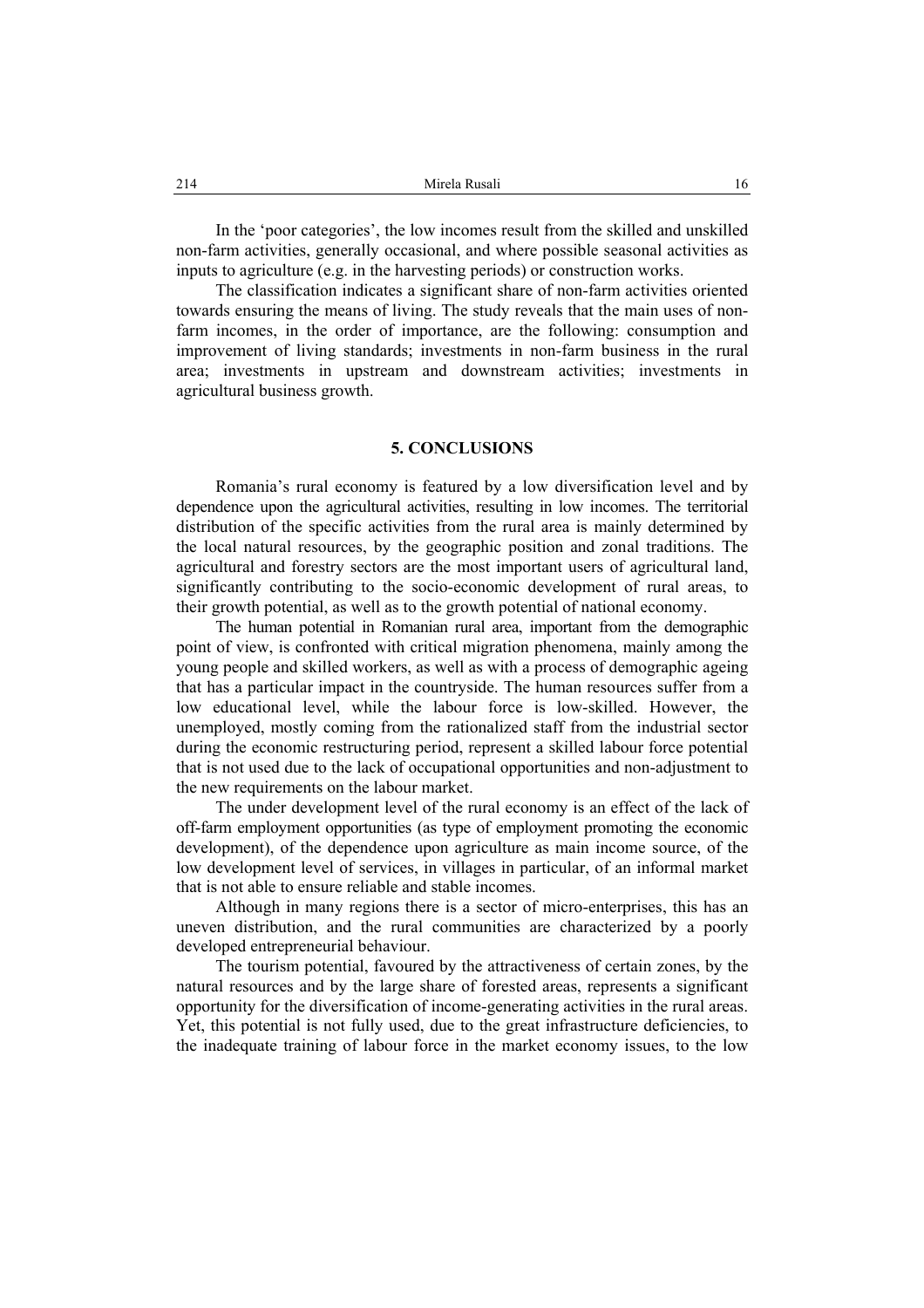In the 'poor categories', the low incomes result from the skilled and unskilled non-farm activities, generally occasional, and where possible seasonal activities as inputs to agriculture (e.g. in the harvesting periods) or construction works.

The classification indicates a significant share of non-farm activities oriented towards ensuring the means of living. The study reveals that the main uses of nonfarm incomes, in the order of importance, are the following: consumption and improvement of living standards; investments in non-farm business in the rural area; investments in upstream and downstream activities; investments in agricultural business growth.

# **5. CONCLUSIONS**

Romania's rural economy is featured by a low diversification level and by dependence upon the agricultural activities, resulting in low incomes. The territorial distribution of the specific activities from the rural area is mainly determined by the local natural resources, by the geographic position and zonal traditions. The agricultural and forestry sectors are the most important users of agricultural land, significantly contributing to the socio-economic development of rural areas, to their growth potential, as well as to the growth potential of national economy.

The human potential in Romanian rural area, important from the demographic point of view, is confronted with critical migration phenomena, mainly among the young people and skilled workers, as well as with a process of demographic ageing that has a particular impact in the countryside. The human resources suffer from a low educational level, while the labour force is low-skilled. However, the unemployed, mostly coming from the rationalized staff from the industrial sector during the economic restructuring period, represent a skilled labour force potential that is not used due to the lack of occupational opportunities and non-adjustment to the new requirements on the labour market.

The under development level of the rural economy is an effect of the lack of off-farm employment opportunities (as type of employment promoting the economic development), of the dependence upon agriculture as main income source, of the low development level of services, in villages in particular, of an informal market that is not able to ensure reliable and stable incomes.

Although in many regions there is a sector of micro-enterprises, this has an uneven distribution, and the rural communities are characterized by a poorly developed entrepreneurial behaviour.

The tourism potential, favoured by the attractiveness of certain zones, by the natural resources and by the large share of forested areas, represents a significant opportunity for the diversification of income-generating activities in the rural areas. Yet, this potential is not fully used, due to the great infrastructure deficiencies, to the inadequate training of labour force in the market economy issues, to the low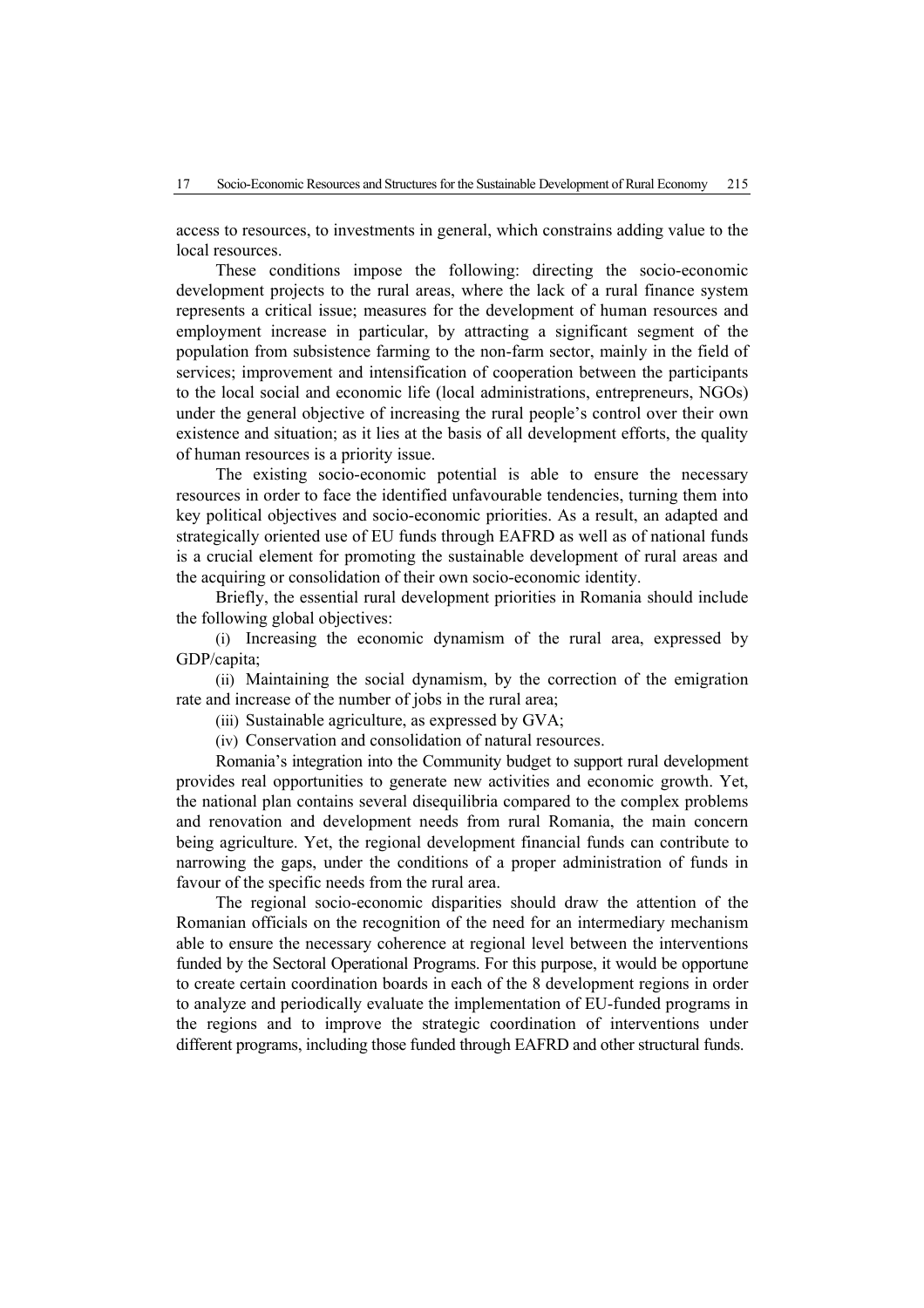access to resources, to investments in general, which constrains adding value to the local resources.

These conditions impose the following: directing the socio-economic development projects to the rural areas, where the lack of a rural finance system represents a critical issue; measures for the development of human resources and employment increase in particular, by attracting a significant segment of the population from subsistence farming to the non-farm sector, mainly in the field of services; improvement and intensification of cooperation between the participants to the local social and economic life (local administrations, entrepreneurs, NGOs) under the general objective of increasing the rural people's control over their own existence and situation; as it lies at the basis of all development efforts, the quality of human resources is a priority issue.

The existing socio-economic potential is able to ensure the necessary resources in order to face the identified unfavourable tendencies, turning them into key political objectives and socio-economic priorities. As a result, an adapted and strategically oriented use of EU funds through EAFRD as well as of national funds is a crucial element for promoting the sustainable development of rural areas and the acquiring or consolidation of their own socio-economic identity.

Briefly, the essential rural development priorities in Romania should include the following global objectives:

(i) Increasing the economic dynamism of the rural area, expressed by GDP/capita;

(ii) Maintaining the social dynamism, by the correction of the emigration rate and increase of the number of jobs in the rural area;

(iii) Sustainable agriculture, as expressed by GVA;

(iv) Conservation and consolidation of natural resources.

Romania's integration into the Community budget to support rural development provides real opportunities to generate new activities and economic growth. Yet, the national plan contains several disequilibria compared to the complex problems and renovation and development needs from rural Romania, the main concern being agriculture. Yet, the regional development financial funds can contribute to narrowing the gaps, under the conditions of a proper administration of funds in favour of the specific needs from the rural area.

The regional socio-economic disparities should draw the attention of the Romanian officials on the recognition of the need for an intermediary mechanism able to ensure the necessary coherence at regional level between the interventions funded by the Sectoral Operational Programs. For this purpose, it would be opportune to create certain coordination boards in each of the 8 development regions in order to analyze and periodically evaluate the implementation of EU-funded programs in the regions and to improve the strategic coordination of interventions under different programs, including those funded through EAFRD and other structural funds.